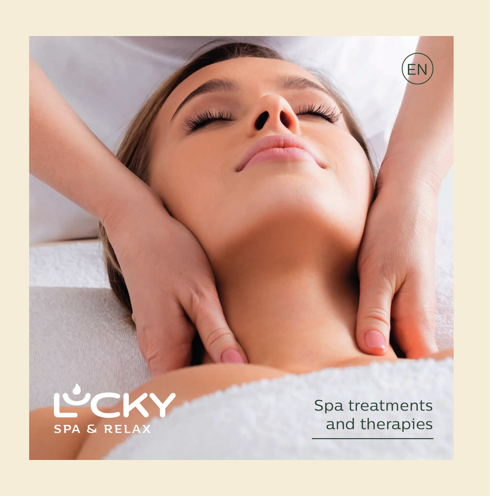

SPA & RELAX

and therapies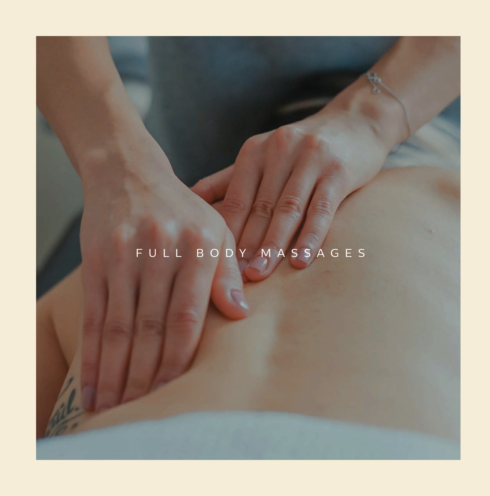FULL BODY MASSAGES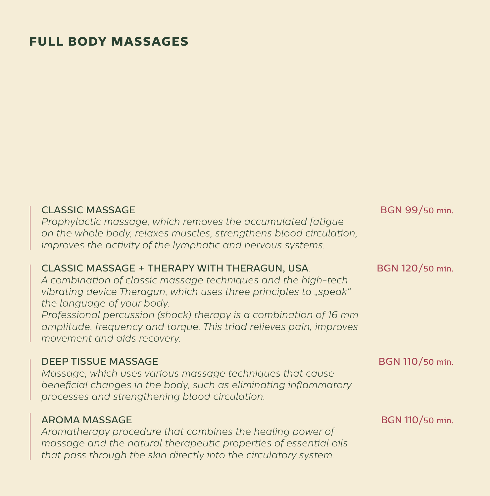## **FULL BODY MASSAGES**

| <b>CLASSIC MASSAGE</b>                                             | <b>RGN</b> |
|--------------------------------------------------------------------|------------|
| Prophylactic massage, which removes the accumulated fatigue        |            |
| on the whole body, relaxes muscles, strengthens blood circulation, |            |
| improves the activity of the lymphatic and nervous systems.        |            |
|                                                                    |            |

#### CLASSIC MASSAGE + THERAPY WITH THERAGUN, USA*.*

*A combination of classic massage techniques and the high-tech*  vibrating device Theragun, which uses three principles to "speak" *the language of your body.*

*Professional percussion (shock) therapy is a combination of 16 mm amplitude, frequency and torque. This triad relieves pain, improves movement and aids recovery.*

#### DEEP TISSUE MASSAGE

*Massage, which uses various massage techniques that cause beneficial changes in the body, such as eliminating inflammatory processes and strengthening blood circulation.*

#### AROMA MASSAGE

*Aromatherapy procedure that combines the healing power of massage and the natural therapeutic properties of essential oils that pass through the skin directly into the circulatory system.*

BGN 110/50 min.

BGN 120/50 min.

99/50 min.

BGN 110/50 min.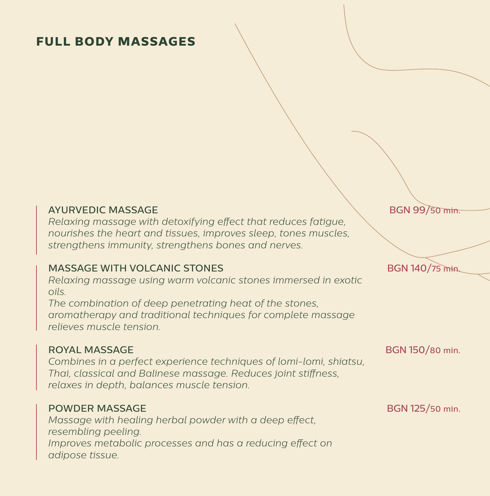## **FULL BODY MASSAGES**

#### AYURVEDIC MASSAGE

*Relaxing massage with detoxifying effect that reduces fatigue, nourishes the heart and tissues, improves sleep, tones muscles, strengthens immunity, strengthens bones and nerves.*

#### MASSAGE WITH VOLCANIC STONES

*Relaxing massage using warm volcanic stones immersed in exotic oils. The combination of deep penetrating heat of the stones,* 

*aromatherapy and traditional techniques for complete massage relieves muscle tension.*

#### ROYAL MASSAGE

*Combines in a perfect experience techniques of lomi-lomi, shiatsu, Thai, classical and Balinese massage. Reduces joint stiffness, relaxes in depth, balances muscle tension.*

#### POWDER MASSAGE

*Massage with healing herbal powder with a deep effect, resembling peeling. Improves metabolic processes and has a reducing effect on adipose tissue.*

BGN 99/50 min.

BGN 140/75 min.

BGN 150/80 min.

BGN 125/50 min.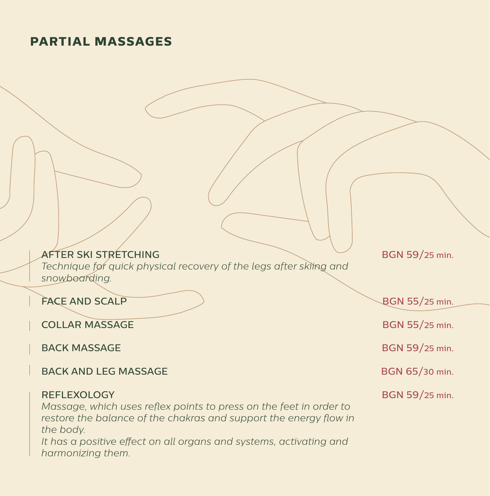## **PARTIAL MASSAGES**

## AFTER SKI STRETCHING

*Technique for quick physical recovery of the legs after skiing and snowboarding.*

FACE AND SCALP

COLLAR MASSAGE

BACK MASSAGE

BACK AND LEG MASSAGE

#### REFLEXOLOGY

*Massage, which uses reflex points to press on the feet in order to restore the balance of the chakras and support the energy flow in the body.*

*It has a positive effect on all organs and systems, activating and harmonizing them.*

BGN 59/25 min.

BGN 55/25 min.

BGN 55/25 min.

BGN 59/25 min.

BGN 65/30 min.

BGN 59/25 min.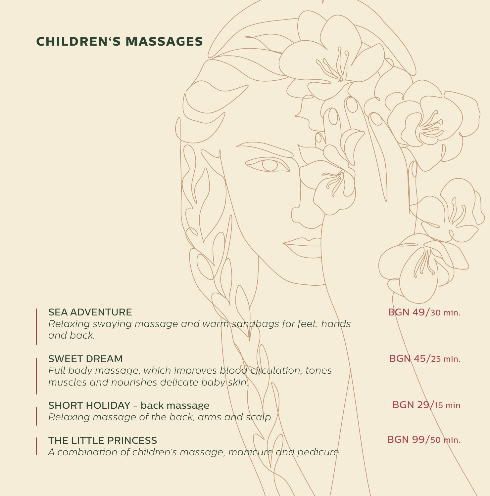## **CHILDREN'S MASSAGES**

#### SEA ADVENTURE

*Relaxing swaying massage and warm sandbags for feet, hands and back.*

#### SWEET DREAM

*Full body massage, which improves blood circulation, tones muscles and nourishes delicate baby skin.*

#### SHORT HOLIDAY - back massage

*Relaxing massage of the back, arms and scalp.*

#### THE LITTLE PRINCESS

A combination of children's massage, manicure and pedicure.

BGN 49/30 min.

BGN 45/25 min.

BGN 29/15 min

BGN 99/50 min.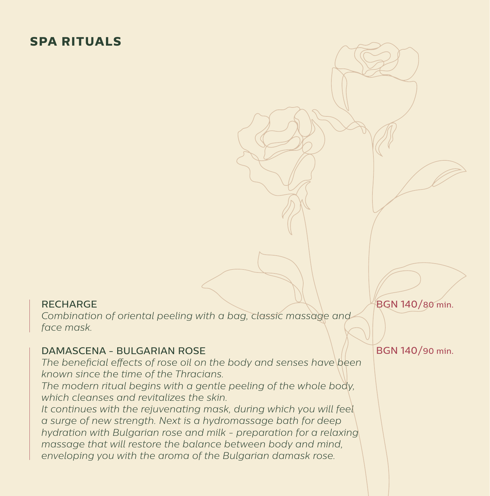## **SPA RITUALS**

#### **RECHARGE**

*Combination of oriental peeling with a bag, classic massage and face mask.*

#### DAMASCENA - BULGARIAN ROSE

*The beneficial effects of rose oil on the body and senses have been known since the time of the Thracians.*

*The modern ritual begins with a gentle peeling of the whole body, which cleanses and revitalizes the skin.*

*It continues with the rejuvenating mask, during which you will feel a surge of new strength. Next is a hydromassage bath for deep hydration with Bulgarian rose and milk - preparation for a relaxing massage that will restore the balance between body and mind, enveloping you with the aroma of the Bulgarian damask rose.*

BGN 140/80 min.

#### BGN 140/90 min.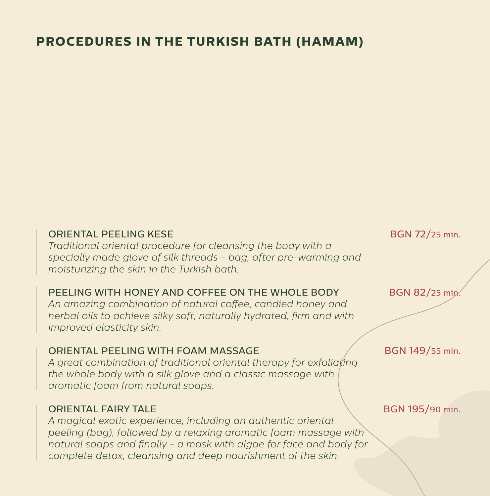## **PROCEDURES IN THE TURKISH BATH (HAMAM)**

#### ORIENTAL PEELING KESE

*Traditional oriental procedure for cleansing the body with a specially made glove of silk threads - bag, after pre-warming and moisturizing the skin in the Turkish bath.*

#### PEELING WITH HONEY AND COFFEE ON THE WHOLE BODY

*An amazing combination of natural coffee, candied honey and herbal oils to achieve silky soft, naturally hydrated, firm and with improved elasticity skin.*

#### ORIENTAL PEELING WITH FOAM MASSAGE

*A great combination of traditional oriental therapy for exfoliating the whole body with a silk glove and a classic massage with aromatic foam from natural soaps.*

#### ORIENTAL FAIRY TALE

*A magical exotic experience, including an authentic oriental peeling (bag), followed by a relaxing aromatic foam massage with natural soaps and finally - a mask with algae for face and body for complete detox, cleansing and deep nourishment of the skin.*

BGN 72/25 min.

**BGN 82/25 min.** 

BGN 149/55 min.

BGN 195/90 min.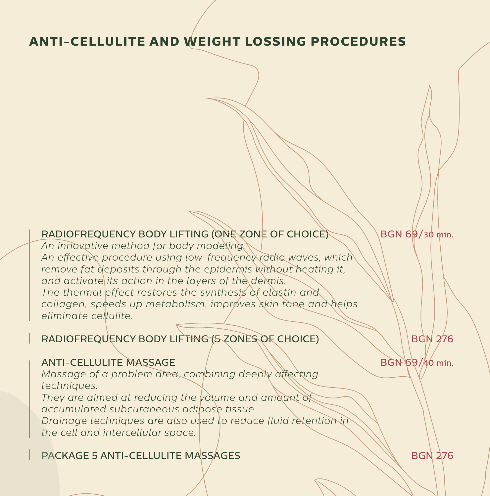## **ANTI-CELLULITE AND WEIGHT LOSSING PROCEDURES**

#### RADIOFREQUENCY BODY LIFTING (ONE ZONE OF CHOICE)

*An innovative method for body modeling. An effective procedure using low-frequency radio waves, which remove fat deposits through the epidermis without heating it, and activate its action in the layers of the dermis. The thermal effect restores the synthesis of elastin and collagen, speeds up metabolism, improves skin tone and helps eliminate cellulite.*

## RADIOFREQUENCY BODY LIFTING (5 ZONES OF CHOICE)

#### ANTI-CELLULITE MASSAGE

*Massage of a problem area, combining deeply affecting techniques. They are aimed at reducing the volume and amount of accumulated subcutaneous adipose tissue.*

*Drainage techniques are also used to reduce fluid retention in the cell and intercellular space.*

#### PACKAGE 5 ANTI-CELLULITE MASSAGES

BGN 69/30 min.

BGN 69/40 min.

BGN 276

BGN 276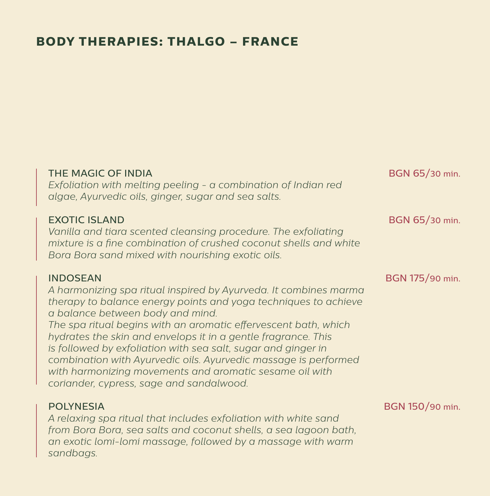## **BODY THERAPIES: THALGO – FRANCE**

#### THE MAGIC OF INDIA *Exfoliation with melting peeling - a combination of Indian red algae, Ayurvedic oils, ginger, sugar and sea salts.* EXOTIC ISLAND *Vanilla and tiara scented cleansing procedure. The exfoliating mixture is a fine combination of crushed coconut shells and white Bora Bora sand mixed with nourishing exotic oils.* INDOSEAN *A harmonizing spa ritual inspired by Ayurveda. It combines marma therapy to balance energy points and yoga techniques to achieve a balance between body and mind. The spa ritual begins with an aromatic effervescent bath, which hydrates the skin and envelops it in a gentle fragrance. This is followed by exfoliation with sea salt, sugar and ginger in combination with Ayurvedic oils. Ayurvedic massage is performed with harmonizing movements and aromatic sesame oil with coriander, cypress, sage and sandalwood.* POLYNESIA BGN 65/30 min. BGN 65/30 min. BGN 175/90 min.

#### *A relaxing spa ritual that includes exfoliation with white sand from Bora Bora, sea salts and coconut shells, a sea lagoon bath, an exotic lomi-lomi massage, followed by a massage with warm sandbags.*

BGN 150/90 min.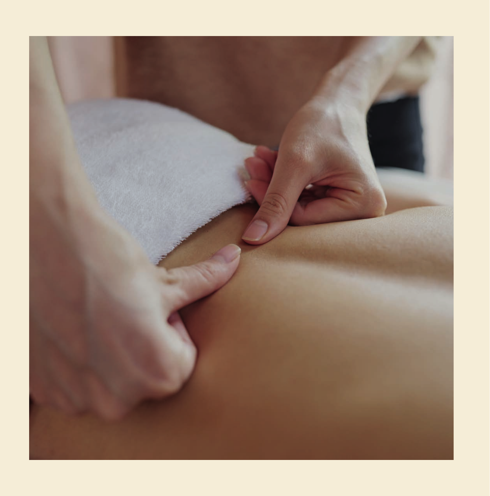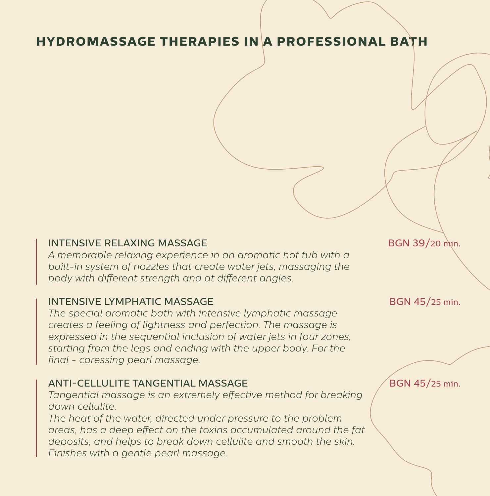## **HYDROMASSAGE THERAPIES IN A PROFESSIONAL BATH**

#### INTENSIVE RELAXING MASSAGE

*A memorable relaxing experience in an aromatic hot tub with a built-in system of nozzles that create water jets, massaging the body with different strength and at different angles.*

#### INTENSIVE LYMPHATIC MASSAGE

*The special aromatic bath with intensive lymphatic massage creates a feeling of lightness and perfection. The massage is expressed in the sequential inclusion of water jets in four zones, starting from the legs and ending with the upper body. For the final - caressing pearl massage.*

#### ANTI-CELLULITE TANGENTIAL MASSAGE

*Tangential massage is an extremely effective method for breaking down cellulite.*

*The heat of the water, directed under pressure to the problem areas, has a deep effect on the toxins accumulated around the fat deposits, and helps to break down cellulite and smooth the skin. Finishes with a gentle pearl massage.*

BGN 39/20 min.

BGN 45/25 min.

BGN 45/25 min.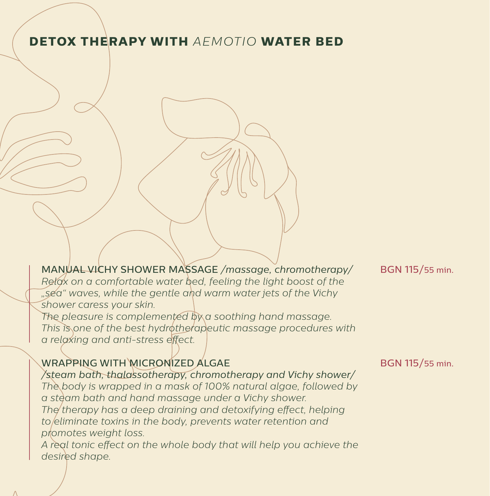## **DETOX THERAPY WITH** *AEMOTIO* **WATER BED**

MANUAL VICHY SHOWER MASSAGE */massage, chromotherapy/ Relax on a comfortable water bed, feeling the light boost of the "sea" waves, while the gentle and warm water jets of the Vichy shower caress your skin.*

*The pleasure is complemented by a soothing hand massage. This is one of the best hydrotherapeutic massage procedures with a relaxing and anti-stress effect.*

#### WRAPPING WITH MICRONIZED ALGAE

*/steam bath, thalassotherapy, chromotherapy and Vichy shower/ The body is wrapped in a mask of 100% natural algae, followed by a steam bath and hand massage under a Vichy shower. The* therapy has a deep draining and detoxifying effect, helping to/eliminate toxins in the body, prevents water retention and *promotes weight loss.*

*A real tonic effect on the whole body that will help you achieve the desired shape.*

BGN 115/55 min.

BGN 115/55 min.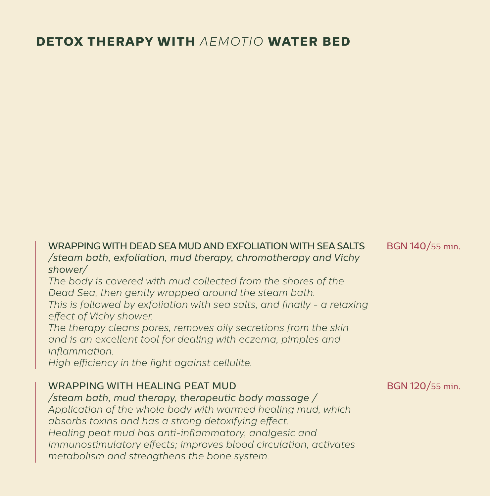## **DETOX THERAPY WITH** *AEMOTIO* **WATER BED**

WRAPPING WITH DEAD SEA MUD AND EXFOLIATION WITH SEA SALTS */steam bath, exfoliation, mud therapy, chromotherapy and Vichy shower/*

*The body is covered with mud collected from the shores of the Dead Sea, then gently wrapped around the steam bath. This is followed by exfoliation with sea salts, and finally - a relaxing effect of Vichy shower.*

*The therapy cleans pores, removes oily secretions from the skin and is an excellent tool for dealing with eczema, pimples and inflammation.*

*High efficiency in the fight against cellulite.*

#### WRAPPING WITH HEALING PEAT MUD

*/steam bath, mud therapy, therapeutic body massage / Application of the whole body with warmed healing mud, which absorbs toxins and has a strong detoxifying effect. Healing peat mud has anti-inflammatory, analgesic and immunostimulatory effects; improves blood circulation, activates metabolism and strengthens the bone system.*

BGN 120/55 min.

BGN 140/55 min.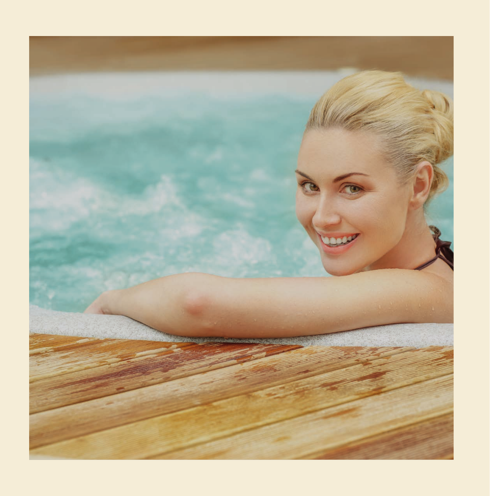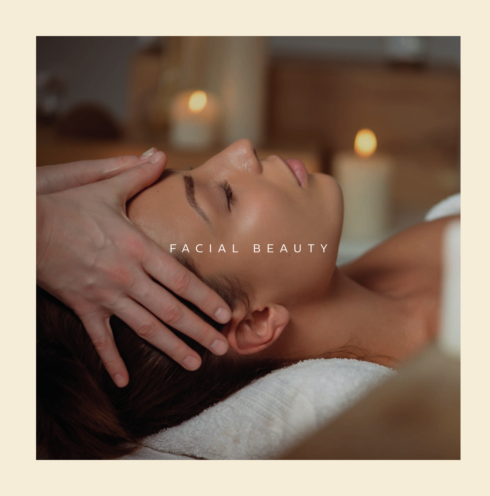## FACIAL BEAUTY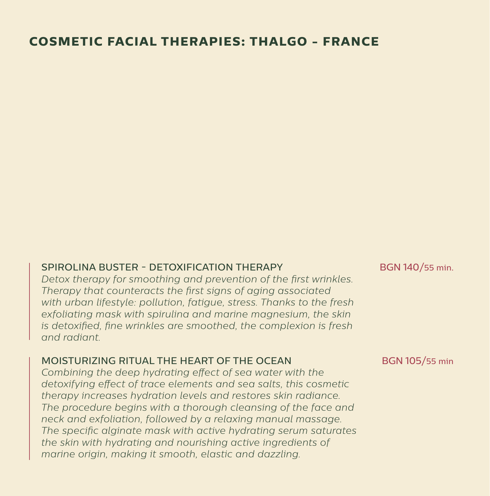## **COSMETIC FACIAL THERAPIES: THALGO - FRANCE**

#### SPIROLINA BUSTER - DETOXIFICATION THERAPY

*Detox therapy for smoothing and prevention of the first wrinkles. Therapy that counteracts the first signs of aging associated with urban lifestyle: pollution, fatigue, stress. Thanks to the fresh exfoliating mask with spirulina and marine magnesium, the skin is detoxified, fine wrinkles are smoothed, the complexion is fresh and radiant.*

#### MOISTURIZING RITUAL THE HEART OF THE OCEAN

*Combining the deep hydrating effect of sea water with the detoxifying effect of trace elements and sea salts, this cosmetic therapy increases hydration levels and restores skin radiance. The procedure begins with a thorough cleansing of the face and neck and exfoliation, followed by a relaxing manual massage. The specific alginate mask with active hydrating serum saturates the skin with hydrating and nourishing active ingredients of marine origin, making it smooth, elastic and dazzling.*

BGN 140/55 min.

BGN 105/55 min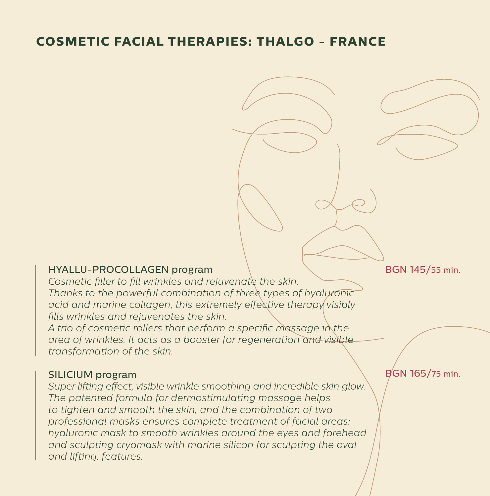## **COSMETIC FACIAL THERAPIES: THALGO - FRANCE**

#### HYALLU-PROCOLLAGEN program

*Cosmetic filler to fill wrinkles and rejuvenate the skin. Thanks to the powerful combination of three types of hyaluronic acid and marine collagen, this extremely effective therapy visibly fills wrinkles and rejuvenates the skin.*

*A trio of cosmetic rollers that perform a specific massage in the area of wrinkles. It acts as a booster for regeneration and visible transformation of the skin.*

#### SILICIUM program

*Super lifting effect, visible wrinkle smoothing and incredible skin glow. The patented formula for dermostimulating massage helps to tighten and smooth the skin, and the combination of two professional masks ensures complete treatment of facial areas: hyaluronic mask to smooth wrinkles around the eyes and forehead and sculpting cryomask with marine silicon for sculpting the oval and lifting. features.*

BGN 145/55 min.

BGN 165/75 min.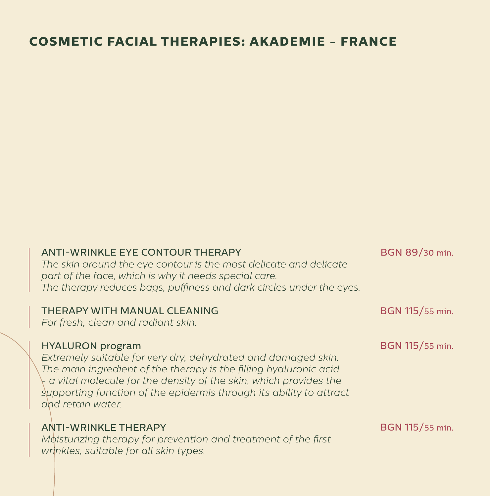## **COSMETIC FACIAL THERAPIES: AKADEMIE - FRANCE**

| <b>ANTI-WRINKLE EYE CONTOUR THERAPY</b><br>The skin around the eye contour is the most delicate and delicate<br>part of the face, which is why it needs special care.<br>The therapy reduces bags, puffiness and dark circles under the eyes.                                                                                 | BGN 89/30 min.         |
|-------------------------------------------------------------------------------------------------------------------------------------------------------------------------------------------------------------------------------------------------------------------------------------------------------------------------------|------------------------|
| <b>THERAPY WITH MANUAL CLEANING</b><br>For fresh, clean and radiant skin.                                                                                                                                                                                                                                                     | <b>BGN 115/55 min.</b> |
| <b>HYALURON</b> program<br>Extremely suitable for very dry, dehydrated and damaged skin.<br>The main ingredient of the therapy is the filling hyaluronic acid<br>a vital molecule for the density of the skin, which provides the<br>supporting function of the epidermis through its ability to attract<br>and retain water. | <b>BGN 115/55 min.</b> |
| <b>ANTI-WRINKLE THERAPY</b><br>Moisturizing therapy for prevention and treatment of the first<br>wrinkles, suitable for all skin types.                                                                                                                                                                                       | <b>BGN 115/55 min.</b> |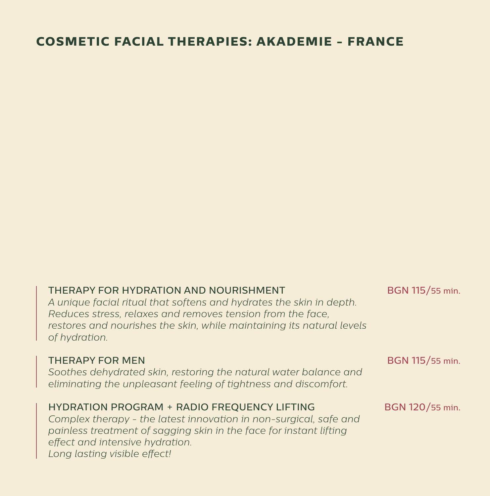## **COSMETIC FACIAL THERAPIES: AKADEMIE - FRANCE**

#### THERAPY FOR HYDRATION AND NOURISHMENT *A unique facial ritual that softens and hydrates the skin in depth. Reduces stress, relaxes and removes tension from the face, restores and nourishes the skin, while maintaining its natural levels of hydration.* THERAPY FOR MEN *Soothes dehydrated skin, restoring the natural water balance and eliminating the unpleasant feeling of tightness and discomfort.* HYDRATION PROGRAM + RADIO FREQUENCY LIFTING BGN 115/55 min. BGN 115/55 min. BGN 120/55 min.

*Complex therapy - the latest innovation in non-surgical, safe and painless treatment of sagging skin in the face for instant lifting effect and intensive hydration. Long lasting visible effect!*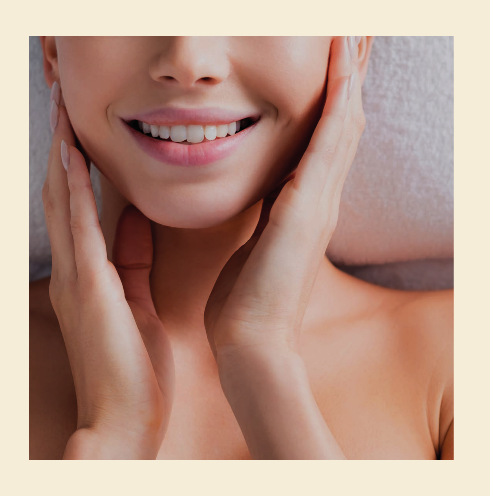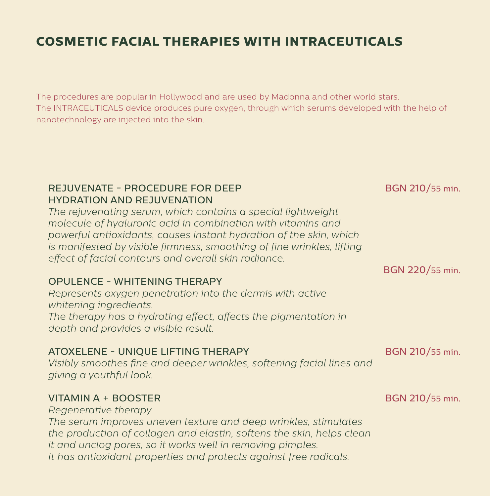## **COSMETIC FACIAL THERAPIES WITH INTRACEUTICALS**

The procedures are popular in Hollywood and are used by Madonna and other world stars. The INTRACEUTICALS device produces pure oxygen, through which serums developed with the help of nanotechnology are injected into the skin.

#### REJUVENATE - PROCEDURE FOR DEEP HYDRATION AND REJUVENATION

*The rejuvenating serum, which contains a special lightweight molecule of hyaluronic acid in combination with vitamins and powerful antioxidants, causes instant hydration of the skin, which is manifested by visible firmness, smoothing of fine wrinkles, lifting effect of facial contours and overall skin radiance.*

#### OPULENCE - WHITENING THERAPY

*Represents oxygen penetration into the dermis with active whitening ingredients. The therapy has a hydrating effect, affects the pigmentation in depth and provides a visible result.*

#### ATOXELENE - UNIQUE LIFTING THERAPY

*Visibly smoothes fine and deeper wrinkles, softening facial lines and giving a youthful look.*

#### VITAMIN A + BOOSTER

*Regenerative therapy The serum improves uneven texture and deep wrinkles, stimulates the production of collagen and elastin, softens the skin, helps clean it and unclog pores, so it works well in removing pimples. It has antioxidant properties and protects against free radicals.*

BGN 210/55 min.

BGN 220/55 min.

BGN 210/55 min.

BGN 210/55 min.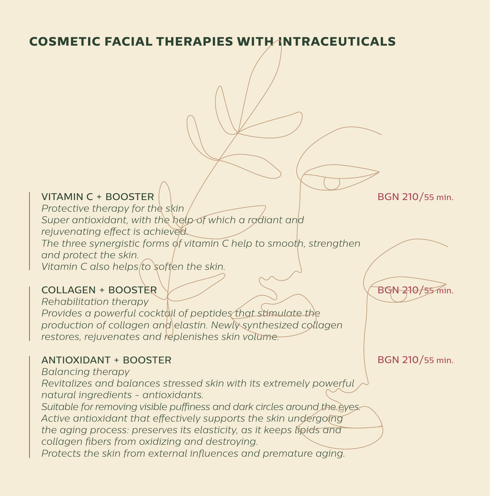## **COSMETIC FACIAL THERAPIES WITH INTRACEUTICALS**

#### VITAMIN C + BOOSTER

*Protective therapy for the skin Super antioxidant, with the help of which a radiant and rejuvenating effect is achieved. The three synergistic forms of vitamin C help to smooth, strengthen and protect the skin. Vitamin C also helps to soften the skin.*

#### COLLAGEN + BOOSTER

*Rehabilitation therapy Provides a powerful cocktail of peptides that stimulate the production of collagen and elastin. Newly synthesized collagen restores, rejuvenates and replenishes skin volume.*

#### ANTIOXIDANT + BOOSTER

*Balancing therapy*

*Revitalizes and balances stressed skin with its extremely powerful natural ingredients - antioxidants.*

*Suitable for removing visible puffiness and dark circles around the eyes. Active antioxidant that effectively supports the skin undergoing the aging process: preserves its elasticity, as it keeps lipids and collagen fibers from oxidizing and destroying.*

*Protects the skin from external influences and premature aging.*

BGN 210/55 min.



BGN 210/55 min.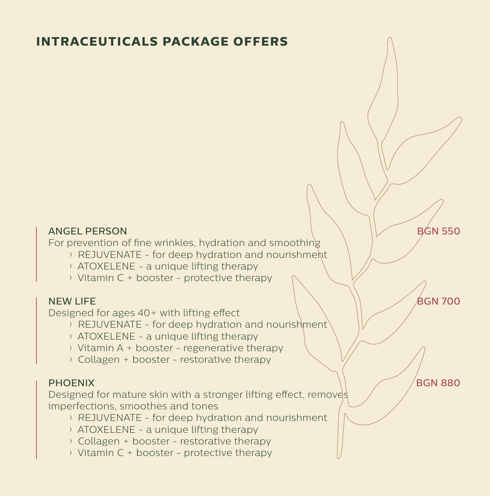## **INTRACEUTICALS PACKAGE OFFERS**

#### ANGEL PERSON

For prevention of fine wrinkles, hydration and smoothing

- $\rightarrow$  REJUVENATE for deep hydration and nourishment
- › ATOXELENE a unique lifting therapy
- › Vitamin C + booster protective therapy

#### NEW LIFE

Designed for ages 40+ with lifting effect

- $\rightarrow$  REJUVENATE for deep hydration and nourishment
- › ATOXELENE a unique lifting therapy
- $\rightarrow$  Vitamin A + booster regenerative therapy
- › Collagen + booster restorative therapy

#### PHOENIX

Designed for mature skin with a stronger lifting effect, removes imperfections, smoothes and tones

- $\rightarrow$  REJUVENATE for deep hydration and nourishment
- $\rightarrow$  ATOXELENE a unique lifting therapy
- › Collagen + booster restorative therapy
- $\rightarrow$  Vitamin C + booster protective therapy

BGN 880

BGN 550

 $\overline{6}$ GN 700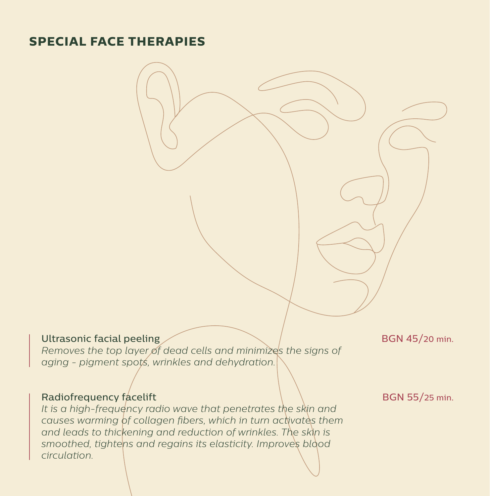## **SPECIAL FACE THERAPIES**

#### Ultrasonic facial peeling

*Removes the top layer of dead cells and minimizes the signs of aging - pigment spots, wrinkles and dehydration.*

#### Radiofrequency facelift

*It is a high-frequency radio wave that penetrates the skin and causes warming of collagen fibers, which in turn activates them and leads to thickening and reduction of wrinkles. The skin is smoothed, tightens and regains its elasticity. Improves blood circulation.*

BGN 45/20 min.

BGN 55/25 min.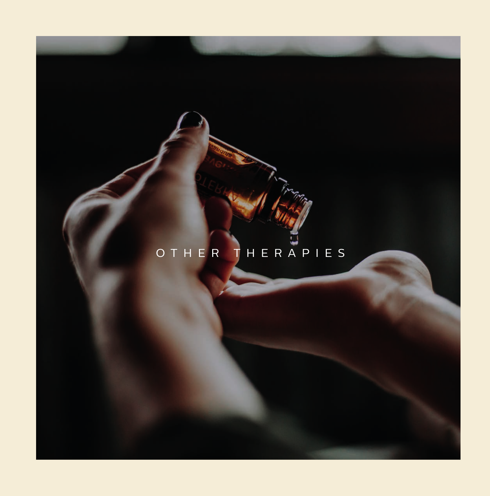## OTHER THERAPIES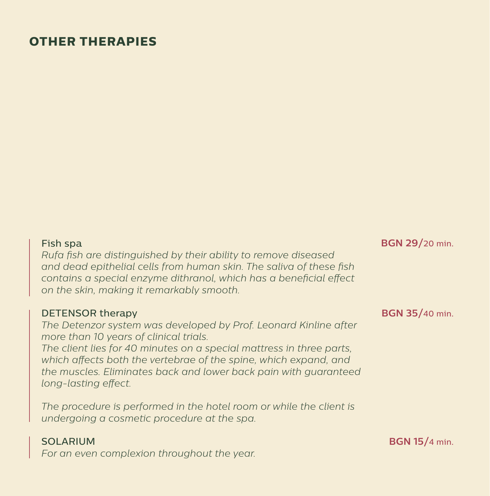## **OTHER THERAPIES**

# Fish spa

*Rufa fish are distinguished by their ability to remove diseased and dead epithelial cells from human skin. The saliva of these fish contains a special enzyme dithranol, which has a beneficial effect on the skin, making it remarkably smooth.*

#### DETENSOR therapy

*The Detenzor system was developed by Prof. Leonard Kinline after more than 10 years of clinical trials.*

*The client lies for 40 minutes on a special mattress in three parts, which affects both the vertebrae of the spine, which expand, and the muscles. Eliminates back and lower back pain with guaranteed long-lasting effect.*

*The procedure is performed in the hotel room or while the client is undergoing a cosmetic procedure at the spa.*

#### SOLARIUM

*For an even complexion throughout the year.*

**BGN 29/**20 min.

**BGN 35/**40 min.

**BGN 15/**4 min.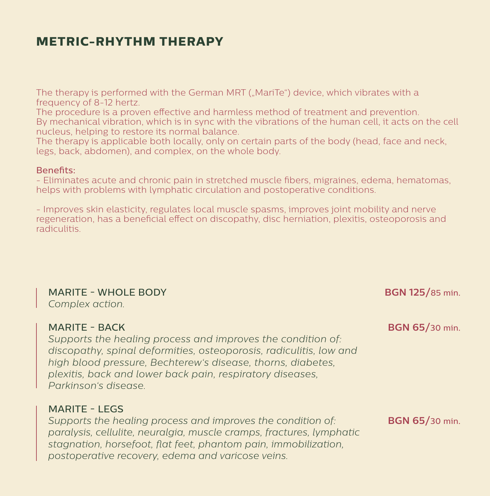## **METRIC-RHYTHM THERAPY**

The therapy is performed with the German MRT ("MariTe") device, which vibrates with a frequency of 8-12 hertz.

The procedure is a proven effective and harmless method of treatment and prevention. By mechanical vibration, which is in sync with the vibrations of the human cell, it acts on the cell nucleus, helping to restore its normal balance.

The therapy is applicable both locally, only on certain parts of the body (head, face and neck, legs, back, abdomen), and complex, on the whole body.

#### Benefits:

- Eliminates acute and chronic pain in stretched muscle fibers, migraines, edema, hematomas, helps with problems with lymphatic circulation and postoperative conditions.

- Improves skin elasticity, regulates local muscle spasms, improves joint mobility and nerve regeneration, has a beneficial effect on discopathy, disc herniation, plexitis, osteoporosis and radiculitis.

#### MARITE - WHOLE BODY *Complex action.*

#### MARITE - BACK

*Supports the healing process and improves the condition of: discopathy, spinal deformities, osteoporosis, radiculitis, low and high blood pressure, Bechterew's disease, thorns, diabetes, plexitis, back and lower back pain, respiratory diseases, Parkinson's disease.*

#### MARITE - LEGS

*Supports the healing process and improves the condition of: paralysis, cellulite, neuralgia, muscle cramps, fractures, lymphatic stagnation, horsefoot, flat feet, phantom pain, immobilization, postoperative recovery, edema and varicose veins.*

**BGN 125/**85 min.

**BGN 65/**30 min.

**BGN 65/**30 min.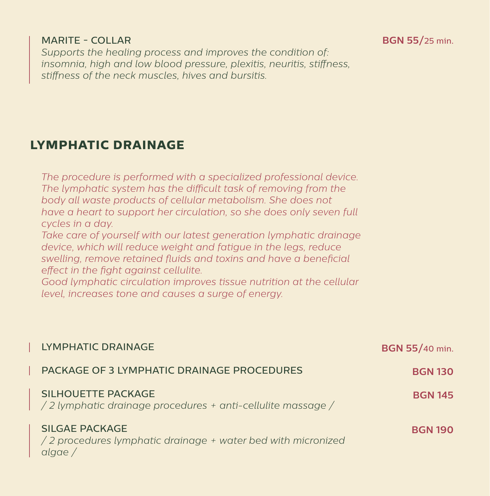## **MARITE - COLLAR**

*Supports the healing process and improves the condition of: insomnia, high and low blood pressure, plexitis, neuritis, stiffness, stiffness of the neck muscles, hives and bursitis.* **BGN 55/**25 min.

## **LYMPHATIC DRAINAGE**

*The procedure is performed with a specialized professional device. The lymphatic system has the difficult task of removing from the body all waste products of cellular metabolism. She does not have a heart to support her circulation, so she does only seven full cycles in a day.*

*Take care of yourself with our latest generation lymphatic drainage device, which will reduce weight and fatigue in the legs, reduce swelling, remove retained fluids and toxins and have a beneficial effect in the fight against cellulite.*

*Good lymphatic circulation improves tissue nutrition at the cellular level, increases tone and causes a surge of energy.*

| <b>LYMPHATIC DRAINAGE</b>                                                                        | <b>BGN 55/40 min.</b> |
|--------------------------------------------------------------------------------------------------|-----------------------|
| <b>PACKAGE OF 3 LYMPHATIC DRAINAGE PROCEDURES</b>                                                | <b>BGN 130</b>        |
| <b>SILHOUETTE PACKAGE</b><br>/ 2 lymphatic drainage procedures + anti-cellulite massage /        | <b>BGN 145</b>        |
| <b>SILGAE PACKAGE</b><br>/2 procedures lymphatic drainage + water bed with micronized<br>algae / | <b>BGN 190</b>        |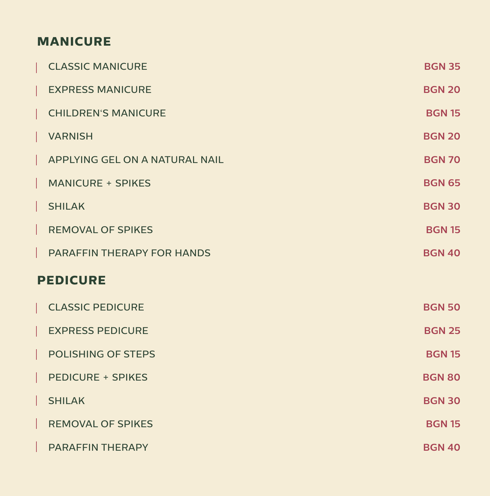## **MANICURE**

|                 | <b>CLASSIC MANICURE</b>           | <b>BGN 35</b> |  |  |
|-----------------|-----------------------------------|---------------|--|--|
|                 | <b>EXPRESS MANICURE</b>           | <b>BGN 20</b> |  |  |
|                 | <b>CHILDREN'S MANICURE</b>        | <b>BGN 15</b> |  |  |
|                 | <b>VARNISH</b>                    | <b>BGN 20</b> |  |  |
|                 | APPLYING GEL ON A NATURAL NAIL    | <b>BGN 70</b> |  |  |
|                 | <b>MANICURE + SPIKES</b>          | <b>BGN 65</b> |  |  |
|                 | <b>SHILAK</b>                     | <b>BGN 30</b> |  |  |
|                 | <b>REMOVAL OF SPIKES</b>          | <b>BGN 15</b> |  |  |
|                 | <b>PARAFFIN THERAPY FOR HANDS</b> | <b>BGN 40</b> |  |  |
| <b>PEDICURE</b> |                                   |               |  |  |
|                 | CLASSIC PEDICURE                  | <b>BGN 50</b> |  |  |
|                 | <b>EXPRESS PEDICURE</b>           | <b>BGN 25</b> |  |  |
|                 | <b>POLISHING OF STEPS</b>         | <b>BGN 15</b> |  |  |
|                 | <b>PEDICURE + SPIKES</b>          | <b>BGN 80</b> |  |  |
|                 | <b>SHILAK</b>                     | <b>BGN 30</b> |  |  |
|                 | <b>REMOVAL OF SPIKES</b>          | <b>BGN 15</b> |  |  |
|                 | <b>PARAFFIN THERAPY</b>           | <b>BGN 40</b> |  |  |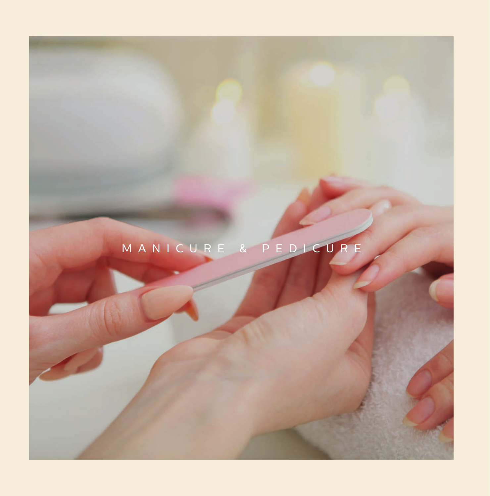## MANICURE & PEDICURE